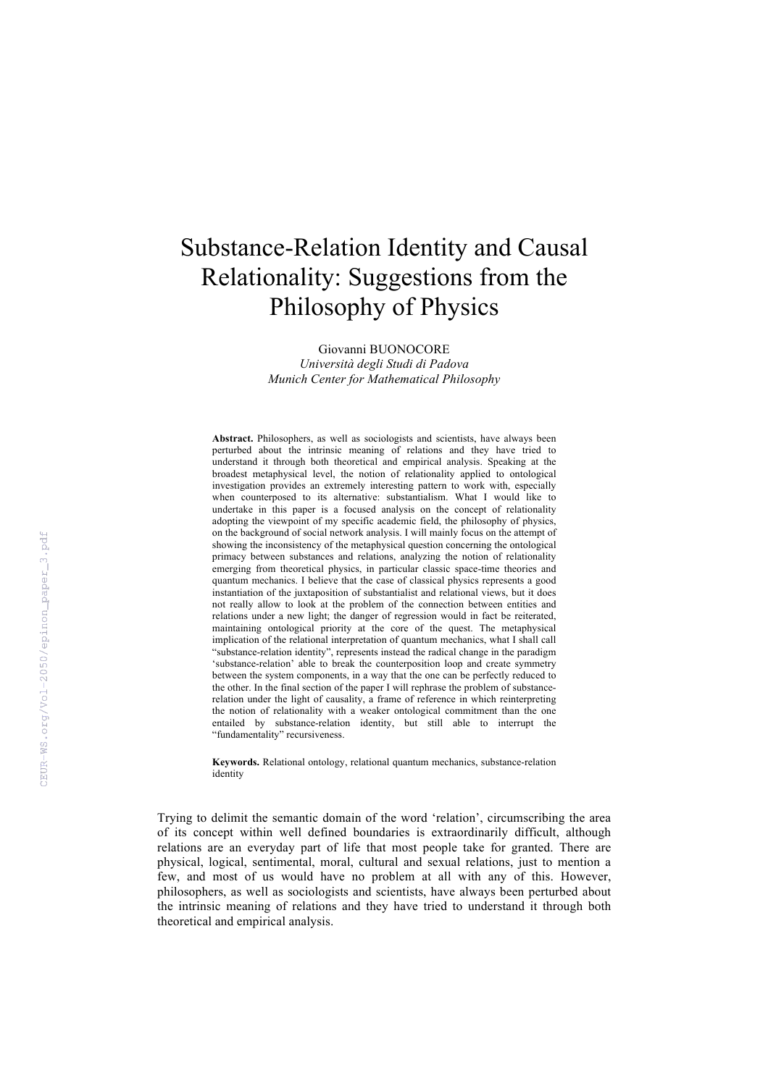## Substance-Relation Identity and Causal Relationality: Suggestions from the Philosophy of Physics

Giovanni BUONOCORE *Università degli Studi di Padova Munich Center for Mathematical Philosophy*

**Abstract.** Philosophers, as well as sociologists and scientists, have always been perturbed about the intrinsic meaning of relations and they have tried to understand it through both theoretical and empirical analysis. Speaking at the broadest metaphysical level, the notion of relationality applied to ontological investigation provides an extremely interesting pattern to work with, especially when counterposed to its alternative: substantialism. What I would like to undertake in this paper is a focused analysis on the concept of relationality adopting the viewpoint of my specific academic field, the philosophy of physics, on the background of social network analysis. I will mainly focus on the attempt of showing the inconsistency of the metaphysical question concerning the ontological primacy between substances and relations, analyzing the notion of relationality emerging from theoretical physics, in particular classic space-time theories and quantum mechanics. I believe that the case of classical physics represents a good instantiation of the juxtaposition of substantialist and relational views, but it does not really allow to look at the problem of the connection between entities and relations under a new light; the danger of regression would in fact be reiterated, maintaining ontological priority at the core of the quest. The metaphysical implication of the relational interpretation of quantum mechanics, what I shall call "substance-relation identity", represents instead the radical change in the paradigm 'substance-relation' able to break the counterposition loop and create symmetry between the system components, in a way that the one can be perfectly reduced to the other. In the final section of the paper I will rephrase the problem of substancerelation under the light of causality, a frame of reference in which reinterpreting the notion of relationality with a weaker ontological commitment than the one entailed by substance-relation identity, but still able to interrupt the "fundamentality" recursiveness.

**Keywords.** Relational ontology, relational quantum mechanics, substance-relation identity

Trying to delimit the semantic domain of the word 'relation', circumscribing the area of its concept within well defined boundaries is extraordinarily difficult, although relations are an everyday part of life that most people take for granted. There are physical, logical, sentimental, moral, cultural and sexual relations, just to mention a few, and most of us would have no problem at all with any of this. However, philosophers, as well as sociologists and scientists, have always been perturbed about the intrinsic meaning of relations and they have tried to understand it through both theoretical and empirical analysis.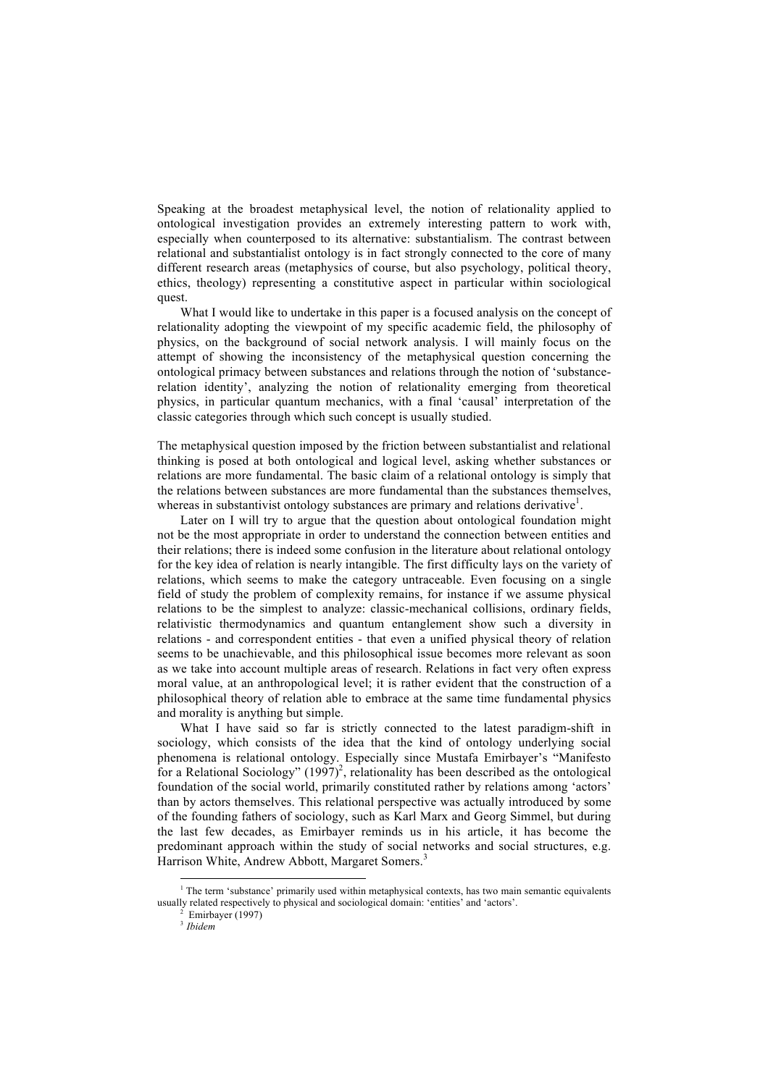Speaking at the broadest metaphysical level, the notion of relationality applied to ontological investigation provides an extremely interesting pattern to work with, especially when counterposed to its alternative: substantialism. The contrast between relational and substantialist ontology is in fact strongly connected to the core of many different research areas (metaphysics of course, but also psychology, political theory, ethics, theology) representing a constitutive aspect in particular within sociological quest.

What I would like to undertake in this paper is a focused analysis on the concept of relationality adopting the viewpoint of my specific academic field, the philosophy of physics, on the background of social network analysis. I will mainly focus on the attempt of showing the inconsistency of the metaphysical question concerning the ontological primacy between substances and relations through the notion of 'substancerelation identity', analyzing the notion of relationality emerging from theoretical physics, in particular quantum mechanics, with a final 'causal' interpretation of the classic categories through which such concept is usually studied.

The metaphysical question imposed by the friction between substantialist and relational thinking is posed at both ontological and logical level, asking whether substances or relations are more fundamental. The basic claim of a relational ontology is simply that the relations between substances are more fundamental than the substances themselves, whereas in substantivist ontology substances are primary and relations derivative<sup>1</sup>.

Later on I will try to argue that the question about ontological foundation might not be the most appropriate in order to understand the connection between entities and their relations; there is indeed some confusion in the literature about relational ontology for the key idea of relation is nearly intangible. The first difficulty lays on the variety of relations, which seems to make the category untraceable. Even focusing on a single field of study the problem of complexity remains, for instance if we assume physical relations to be the simplest to analyze: classic-mechanical collisions, ordinary fields, relativistic thermodynamics and quantum entanglement show such a diversity in relations - and correspondent entities - that even a unified physical theory of relation seems to be unachievable, and this philosophical issue becomes more relevant as soon as we take into account multiple areas of research. Relations in fact very often express moral value, at an anthropological level; it is rather evident that the construction of a philosophical theory of relation able to embrace at the same time fundamental physics and morality is anything but simple.

What I have said so far is strictly connected to the latest paradigm-shift in sociology, which consists of the idea that the kind of ontology underlying social phenomena is relational ontology. Especially since Mustafa Emirbayer's "Manifesto for a Relational Sociology"  $(1997)^2$ , relationality has been described as the ontological foundation of the social world, primarily constituted rather by relations among 'actors' than by actors themselves. This relational perspective was actually introduced by some of the founding fathers of sociology, such as Karl Marx and Georg Simmel, but during the last few decades, as Emirbayer reminds us in his article, it has become the predominant approach within the study of social networks and social structures, e.g. Harrison White, Andrew Abbott, Margaret Somers.<sup>3</sup>

<sup>&</sup>lt;sup>1</sup> The term 'substance' primarily used within metaphysical contexts, has two main semantic equivalents usually related respectively to physical and sociological domain: 'entities' and 'actors'. 2 Emirbayer (1997)

<sup>3</sup> *Ibidem*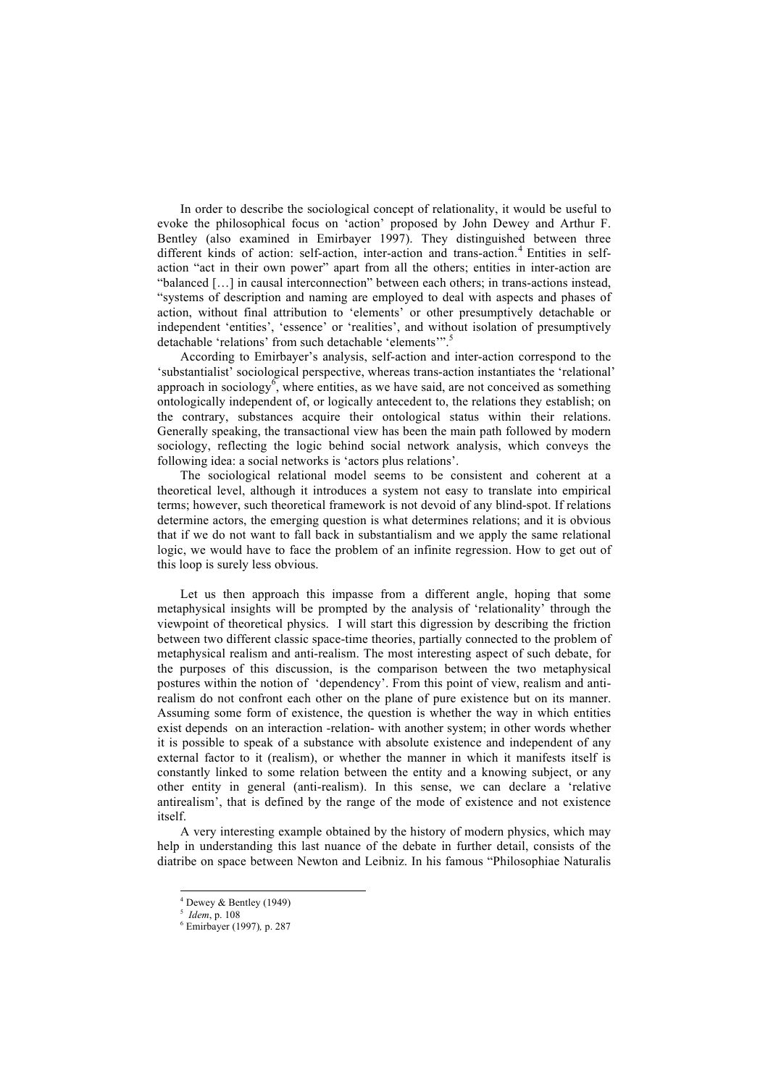In order to describe the sociological concept of relationality, it would be useful to evoke the philosophical focus on 'action' proposed by John Dewey and Arthur F. Bentley (also examined in Emirbayer 1997). They distinguished between three different kinds of action: self-action, inter-action and trans-action.<sup>4</sup> Entities in selfaction "act in their own power" apart from all the others; entities in inter-action are "balanced […] in causal interconnection" between each others; in trans-actions instead, "systems of description and naming are employed to deal with aspects and phases of action, without final attribution to 'elements' or other presumptively detachable or independent 'entities', 'essence' or 'realities', and without isolation of presumptively detachable 'relations' from such detachable 'elements'".<sup>5</sup>

According to Emirbayer's analysis, self-action and inter-action correspond to the 'substantialist' sociological perspective, whereas trans-action instantiates the 'relational' approach in sociology, where entities, as we have said, are not conceived as something ontologically independent of, or logically antecedent to, the relations they establish; on the contrary, substances acquire their ontological status within their relations. Generally speaking, the transactional view has been the main path followed by modern sociology, reflecting the logic behind social network analysis, which conveys the following idea: a social networks is 'actors plus relations'.

The sociological relational model seems to be consistent and coherent at a theoretical level, although it introduces a system not easy to translate into empirical terms; however, such theoretical framework is not devoid of any blind-spot. If relations determine actors, the emerging question is what determines relations; and it is obvious that if we do not want to fall back in substantialism and we apply the same relational logic, we would have to face the problem of an infinite regression. How to get out of this loop is surely less obvious.

Let us then approach this impasse from a different angle, hoping that some metaphysical insights will be prompted by the analysis of 'relationality' through the viewpoint of theoretical physics. I will start this digression by describing the friction between two different classic space-time theories, partially connected to the problem of metaphysical realism and anti-realism. The most interesting aspect of such debate, for the purposes of this discussion, is the comparison between the two metaphysical postures within the notion of 'dependency'. From this point of view, realism and antirealism do not confront each other on the plane of pure existence but on its manner. Assuming some form of existence, the question is whether the way in which entities exist depends on an interaction -relation- with another system; in other words whether it is possible to speak of a substance with absolute existence and independent of any external factor to it (realism), or whether the manner in which it manifests itself is constantly linked to some relation between the entity and a knowing subject, or any other entity in general (anti-realism). In this sense, we can declare a 'relative antirealism', that is defined by the range of the mode of existence and not existence itself.

A very interesting example obtained by the history of modern physics, which may help in understanding this last nuance of the debate in further detail, consists of the diatribe on space between Newton and Leibniz. In his famous "Philosophiae Naturalis

 $4$  Dewey & Bentley (1949)

<sup>5</sup> *Idem*, p. 108

<sup>6</sup> Emirbayer (1997)*,* p. 287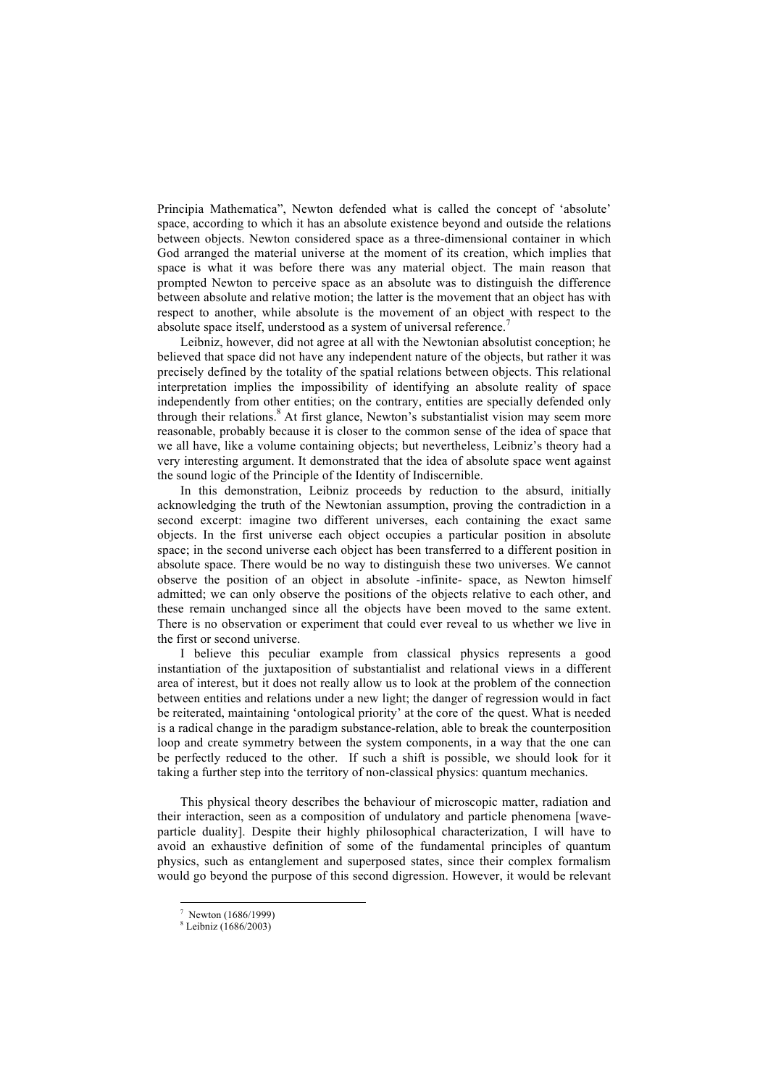Principia Mathematica", Newton defended what is called the concept of 'absolute' space, according to which it has an absolute existence beyond and outside the relations between objects. Newton considered space as a three-dimensional container in which God arranged the material universe at the moment of its creation, which implies that space is what it was before there was any material object. The main reason that prompted Newton to perceive space as an absolute was to distinguish the difference between absolute and relative motion; the latter is the movement that an object has with respect to another, while absolute is the movement of an object with respect to the absolute space itself, understood as a system of universal reference.<sup>7</sup>

Leibniz, however, did not agree at all with the Newtonian absolutist conception; he believed that space did not have any independent nature of the objects, but rather it was precisely defined by the totality of the spatial relations between objects. This relational interpretation implies the impossibility of identifying an absolute reality of space independently from other entities; on the contrary, entities are specially defended only through their relations.<sup>8</sup> At first glance, Newton's substantialist vision may seem more reasonable, probably because it is closer to the common sense of the idea of space that we all have, like a volume containing objects; but nevertheless, Leibniz's theory had a very interesting argument. It demonstrated that the idea of absolute space went against the sound logic of the Principle of the Identity of Indiscernible.

In this demonstration, Leibniz proceeds by reduction to the absurd, initially acknowledging the truth of the Newtonian assumption, proving the contradiction in a second excerpt: imagine two different universes, each containing the exact same objects. In the first universe each object occupies a particular position in absolute space; in the second universe each object has been transferred to a different position in absolute space. There would be no way to distinguish these two universes. We cannot observe the position of an object in absolute -infinite- space, as Newton himself admitted; we can only observe the positions of the objects relative to each other, and these remain unchanged since all the objects have been moved to the same extent. There is no observation or experiment that could ever reveal to us whether we live in the first or second universe.

I believe this peculiar example from classical physics represents a good instantiation of the juxtaposition of substantialist and relational views in a different area of interest, but it does not really allow us to look at the problem of the connection between entities and relations under a new light; the danger of regression would in fact be reiterated, maintaining 'ontological priority' at the core of the quest. What is needed is a radical change in the paradigm substance-relation, able to break the counterposition loop and create symmetry between the system components, in a way that the one can be perfectly reduced to the other. If such a shift is possible, we should look for it taking a further step into the territory of non-classical physics: quantum mechanics.

This physical theory describes the behaviour of microscopic matter, radiation and their interaction, seen as a composition of undulatory and particle phenomena [waveparticle duality]. Despite their highly philosophical characterization, I will have to avoid an exhaustive definition of some of the fundamental principles of quantum physics, such as entanglement and superposed states, since their complex formalism would go beyond the purpose of this second digression. However, it would be relevant

 $^7$  Newton (1686/1999)

<sup>8</sup> Leibniz (1686/2003)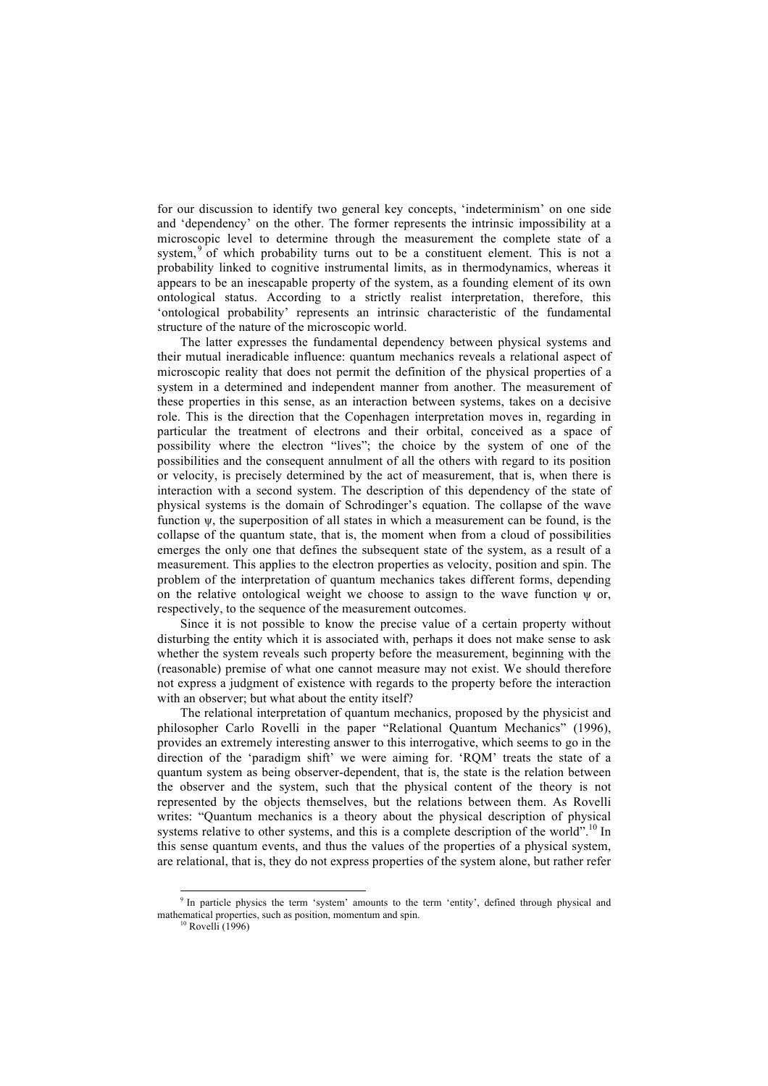for our discussion to identify two general key concepts, 'indeterminism' on one side and 'dependency' on the other. The former represents the intrinsic impossibility at a microscopic level to determine through the measurement the complete state of a system,  $9^{\circ}$  of which probability turns out to be a constituent element. This is not a probability linked to cognitive instrumental limits, as in thermodynamics, whereas it appears to be an inescapable property of the system, as a founding element of its own ontological status. According to a strictly realist interpretation, therefore, this 'ontological probability' represents an intrinsic characteristic of the fundamental structure of the nature of the microscopic world.

The latter expresses the fundamental dependency between physical systems and their mutual ineradicable influence: quantum mechanics reveals a relational aspect of microscopic reality that does not permit the definition of the physical properties of a system in a determined and independent manner from another. The measurement of these properties in this sense, as an interaction between systems, takes on a decisive role. This is the direction that the Copenhagen interpretation moves in, regarding in particular the treatment of electrons and their orbital, conceived as a space of possibility where the electron "lives"; the choice by the system of one of the possibilities and the consequent annulment of all the others with regard to its position or velocity, is precisely determined by the act of measurement, that is, when there is interaction with a second system. The description of this dependency of the state of physical systems is the domain of Schrodinger's equation. The collapse of the wave function ψ, the superposition of all states in which a measurement can be found, is the collapse of the quantum state, that is, the moment when from a cloud of possibilities emerges the only one that defines the subsequent state of the system, as a result of a measurement. This applies to the electron properties as velocity, position and spin. The problem of the interpretation of quantum mechanics takes different forms, depending on the relative ontological weight we choose to assign to the wave function  $\psi$  or, respectively, to the sequence of the measurement outcomes.

Since it is not possible to know the precise value of a certain property without disturbing the entity which it is associated with, perhaps it does not make sense to ask whether the system reveals such property before the measurement, beginning with the (reasonable) premise of what one cannot measure may not exist. We should therefore not express a judgment of existence with regards to the property before the interaction with an observer; but what about the entity itself?

The relational interpretation of quantum mechanics, proposed by the physicist and philosopher Carlo Rovelli in the paper "Relational Quantum Mechanics" (1996), provides an extremely interesting answer to this interrogative, which seems to go in the direction of the 'paradigm shift' we were aiming for. 'RQM' treats the state of a quantum system as being observer-dependent, that is, the state is the relation between the observer and the system, such that the physical content of the theory is not represented by the objects themselves, but the relations between them. As Rovelli writes: "Quantum mechanics is a theory about the physical description of physical systems relative to other systems, and this is a complete description of the world".<sup>10</sup> In this sense quantum events, and thus the values of the properties of a physical system, are relational, that is, they do not express properties of the system alone, but rather refer

<sup>&</sup>lt;sup>9</sup> In particle physics the term 'system' amounts to the term 'entity', defined through physical and mathematical properties, such as position, momentum and spin.

 $^{\circ}$  Rovelli (1996)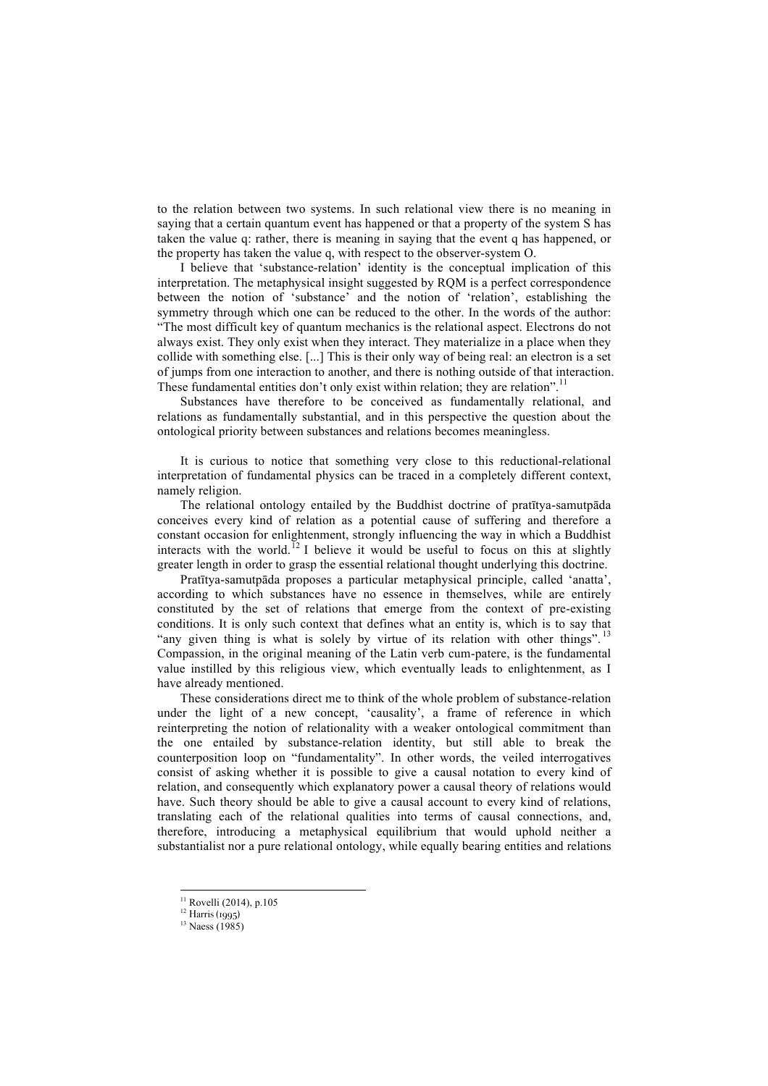to the relation between two systems. In such relational view there is no meaning in saying that a certain quantum event has happened or that a property of the system S has taken the value q: rather, there is meaning in saying that the event q has happened, or the property has taken the value q, with respect to the observer-system O.

I believe that 'substance-relation' identity is the conceptual implication of this interpretation. The metaphysical insight suggested by RQM is a perfect correspondence between the notion of 'substance' and the notion of 'relation', establishing the symmetry through which one can be reduced to the other. In the words of the author: "The most difficult key of quantum mechanics is the relational aspect. Electrons do not always exist. They only exist when they interact. They materialize in a place when they collide with something else. [...] This is their only way of being real: an electron is a set of jumps from one interaction to another, and there is nothing outside of that interaction. These fundamental entities don't only exist within relation; they are relation".<sup>11</sup>

Substances have therefore to be conceived as fundamentally relational, and relations as fundamentally substantial, and in this perspective the question about the ontological priority between substances and relations becomes meaningless.

It is curious to notice that something very close to this reductional-relational interpretation of fundamental physics can be traced in a completely different context, namely religion.

The relational ontology entailed by the Buddhist doctrine of pratītya-samutpāda conceives every kind of relation as a potential cause of suffering and therefore a constant occasion for enlightenment, strongly influencing the way in which a Buddhist interacts with the world.<sup>12</sup> I believe it would be useful to focus on this at slightly greater length in order to grasp the essential relational thought underlying this doctrine.

Pratītya-samutpāda proposes a particular metaphysical principle, called 'anatta', according to which substances have no essence in themselves, while are entirely constituted by the set of relations that emerge from the context of pre-existing conditions. It is only such context that defines what an entity is, which is to say that "any given thing is what is solely by virtue of its relation with other things".<sup>13</sup> Compassion, in the original meaning of the Latin verb cum-patere, is the fundamental value instilled by this religious view, which eventually leads to enlightenment, as I have already mentioned.

These considerations direct me to think of the whole problem of substance-relation under the light of a new concept, 'causality', a frame of reference in which reinterpreting the notion of relationality with a weaker ontological commitment than the one entailed by substance-relation identity, but still able to break the counterposition loop on "fundamentality". In other words, the veiled interrogatives consist of asking whether it is possible to give a causal notation to every kind of relation, and consequently which explanatory power a causal theory of relations would have. Such theory should be able to give a causal account to every kind of relations, translating each of the relational qualities into terms of causal connections, and, therefore, introducing a metaphysical equilibrium that would uphold neither a substantialist nor a pure relational ontology, while equally bearing entities and relations

 $11$  Rovelli (2014), p.105

<sup>12</sup> Harris (1995)

<sup>&</sup>lt;sup>13</sup> Naess (1985)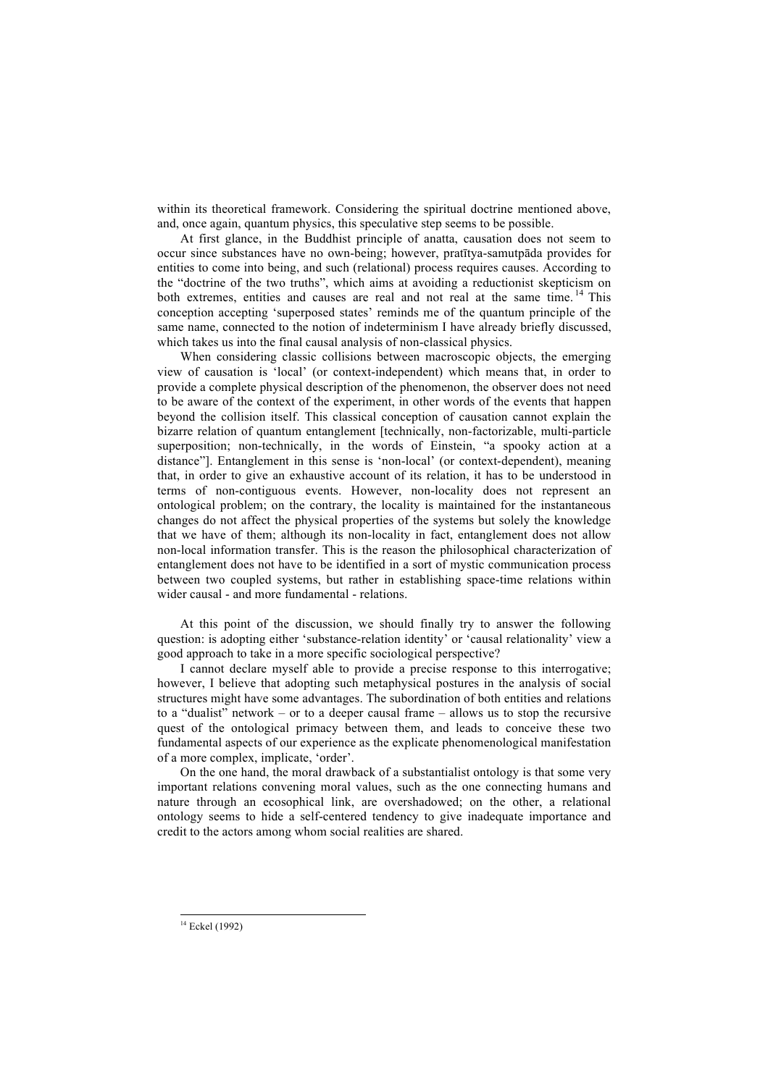within its theoretical framework. Considering the spiritual doctrine mentioned above, and, once again, quantum physics, this speculative step seems to be possible.

At first glance, in the Buddhist principle of anatta, causation does not seem to occur since substances have no own-being; however, pratītya-samutpāda provides for entities to come into being, and such (relational) process requires causes. According to the "doctrine of the two truths", which aims at avoiding a reductionist skepticism on both extremes, entities and causes are real and not real at the same time.<sup>14</sup> This conception accepting 'superposed states' reminds me of the quantum principle of the same name, connected to the notion of indeterminism I have already briefly discussed, which takes us into the final causal analysis of non-classical physics.

When considering classic collisions between macroscopic objects, the emerging view of causation is 'local' (or context-independent) which means that, in order to provide a complete physical description of the phenomenon, the observer does not need to be aware of the context of the experiment, in other words of the events that happen beyond the collision itself. This classical conception of causation cannot explain the bizarre relation of quantum entanglement [technically, non-factorizable, multi-particle superposition; non-technically, in the words of Einstein, "a spooky action at a distance"]. Entanglement in this sense is 'non-local' (or context-dependent), meaning that, in order to give an exhaustive account of its relation, it has to be understood in terms of non-contiguous events. However, non-locality does not represent an ontological problem; on the contrary, the locality is maintained for the instantaneous changes do not affect the physical properties of the systems but solely the knowledge that we have of them; although its non-locality in fact, entanglement does not allow non-local information transfer. This is the reason the philosophical characterization of entanglement does not have to be identified in a sort of mystic communication process between two coupled systems, but rather in establishing space-time relations within wider causal - and more fundamental - relations.

At this point of the discussion, we should finally try to answer the following question: is adopting either 'substance-relation identity' or 'causal relationality' view a good approach to take in a more specific sociological perspective?

I cannot declare myself able to provide a precise response to this interrogative; however, I believe that adopting such metaphysical postures in the analysis of social structures might have some advantages. The subordination of both entities and relations to a "dualist" network – or to a deeper causal frame – allows us to stop the recursive quest of the ontological primacy between them, and leads to conceive these two fundamental aspects of our experience as the explicate phenomenological manifestation of a more complex, implicate, 'order'.

On the one hand, the moral drawback of a substantialist ontology is that some very important relations convening moral values, such as the one connecting humans and nature through an ecosophical link, are overshadowed; on the other, a relational ontology seems to hide a self-centered tendency to give inadequate importance and credit to the actors among whom social realities are shared.

<sup>&</sup>lt;sup>14</sup> Eckel (1992)